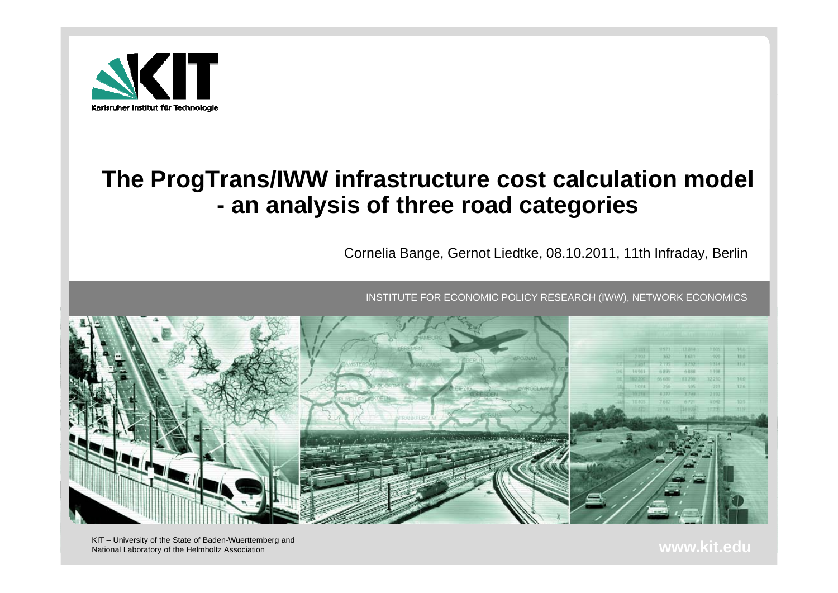

#### **The ProgTrans/IWW infrastructure cost calculation model an analysis of three road categories**

Cornelia Bange, Gernot Liedtke, 08.10.2011, 11th Infraday, Berlin

INSTITUTE FOR ECONOMIC POLICY RESEARCH (IWW), NETWORK ECONOMICS



National Laboratory of the Helmholtz Association **www.kit.edu**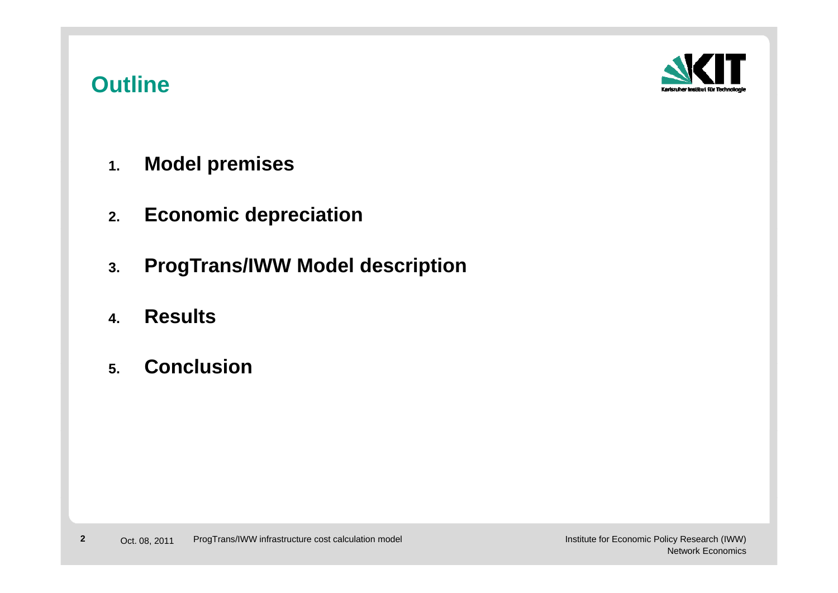## **Outline**



- **1.Model premises**
- **2.Economic depreciation**
- **3.ProgTrans/IWW Model description**
- **4.Results**
- **5.Concl sion Conclusion**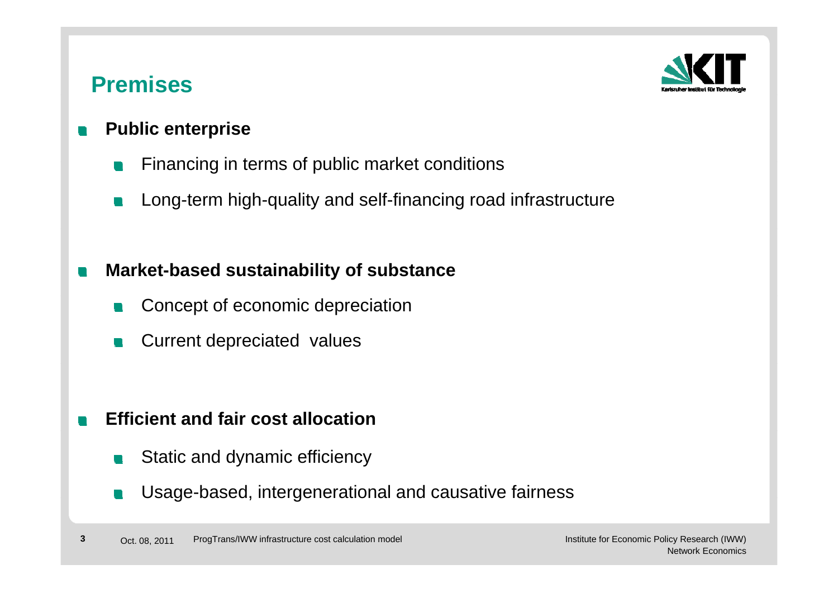## **Premises**



#### **Public enterprise**  $\blacksquare$

- Financing in terms of public market conditions **Ta**
- Long-term high-quality and self-financing road infrastructure  $\mathcal{L}(\mathcal{A})$

#### **Market-based sustainability of substance**  $\blacksquare$

- Concept of economic depreciation **CONTRACT**
- Current depreciated values  $\mathcal{L}_{\mathcal{A}}$

#### **Efficient and fair cost allocation** $\mathbb{R}^n$

- Static and dynamic efficiency u.
- Usage-based, intergenerational and causative fairness Usage based,  $\mathcal{L}^{\mathcal{A}}$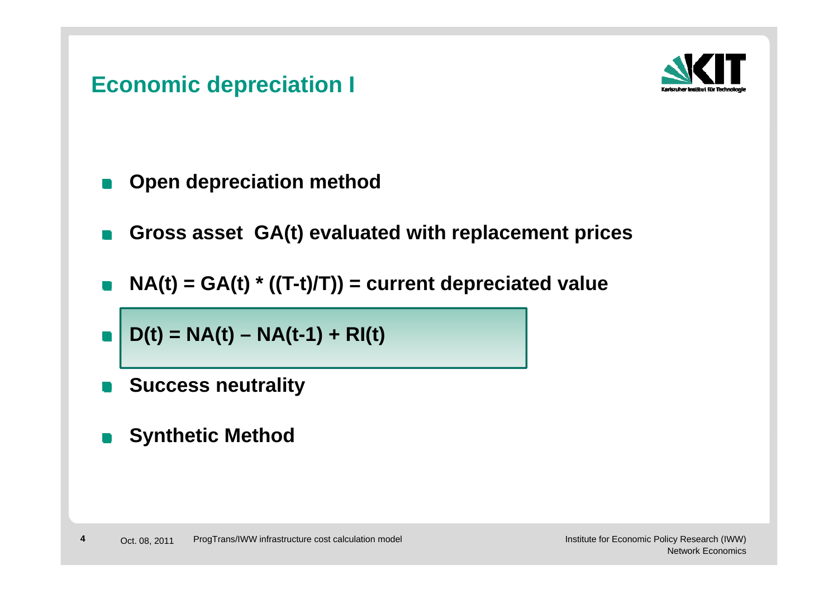# **Economic depreciation I**



- **Open depreciation method**
- **Gross asset GA(t) <sup>e</sup> al ated ith replacement prices evaluated with**
- **NA(t) = GA(t) \* ((T-t)/T)) = current depreciated value**
- **D(t) = NA(t) – NA(t-1) + RI(t)**
- **Success neutrality**
- **S th ti M th d Synthetic Method The Contract of the Contract of the Contract of the Contract of the Contract of the Contract of the Contract o**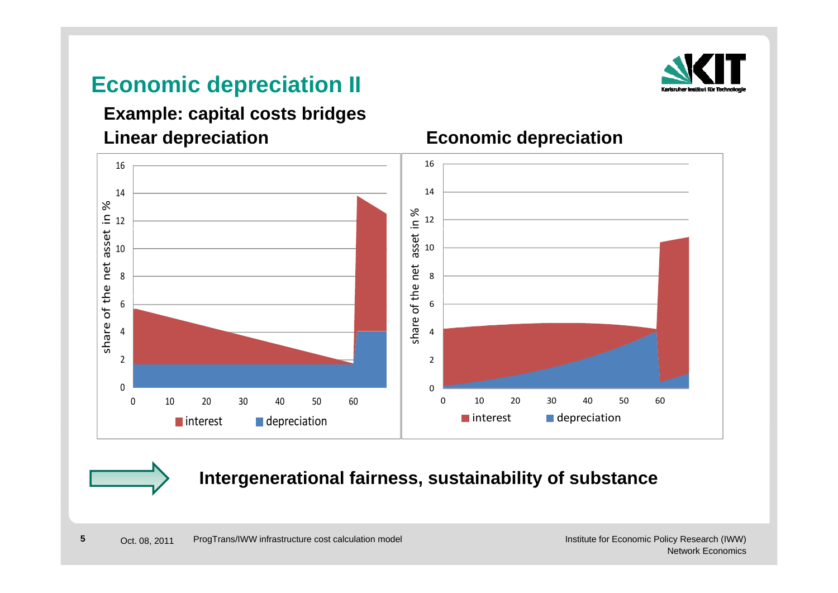# **Economic depreciation II**



#### **Linear depreciation**<br> **Economic depreciation Example: capital costs bridges**





#### **Intergenerational fairness, sustainability of substance**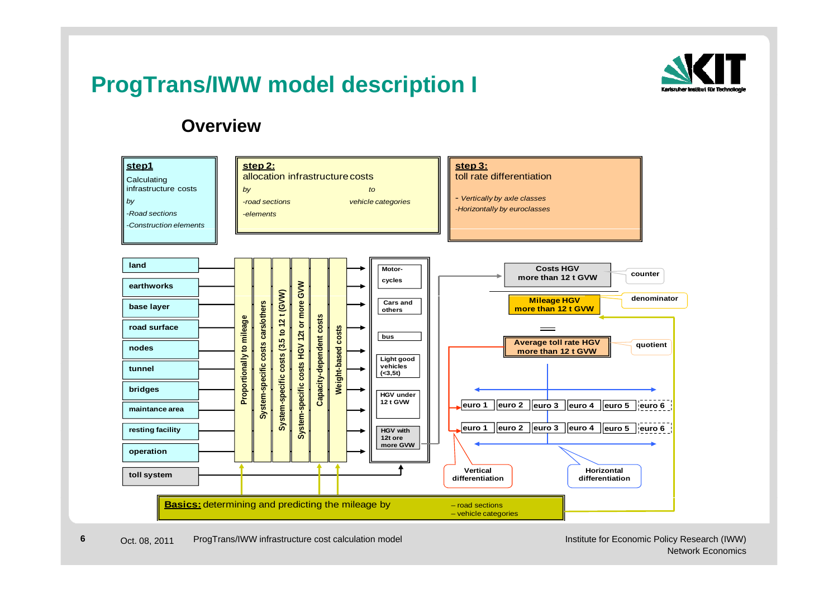# **ProgTrans/IWW model description I**



#### **Overview**



**6**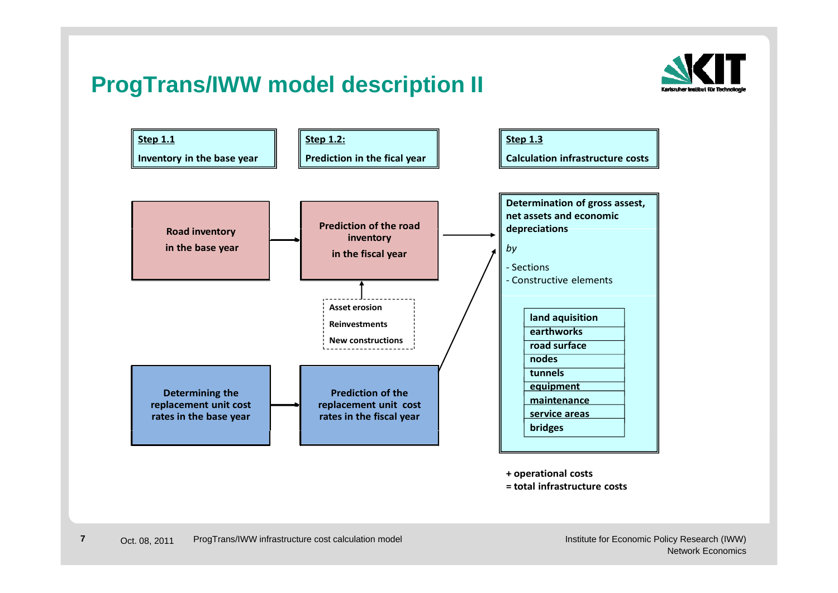# **ProgTrans/IWW model description II**



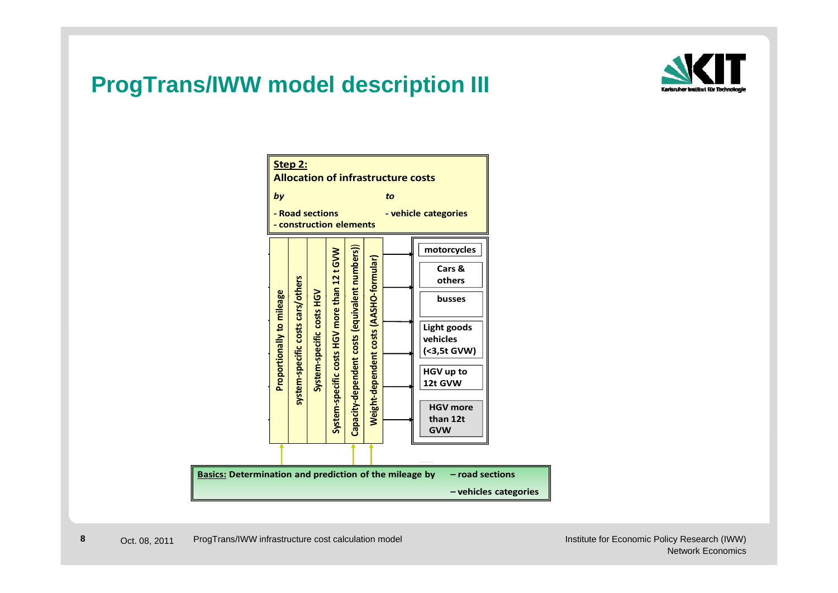# **ProgTrans/IWW model description III**



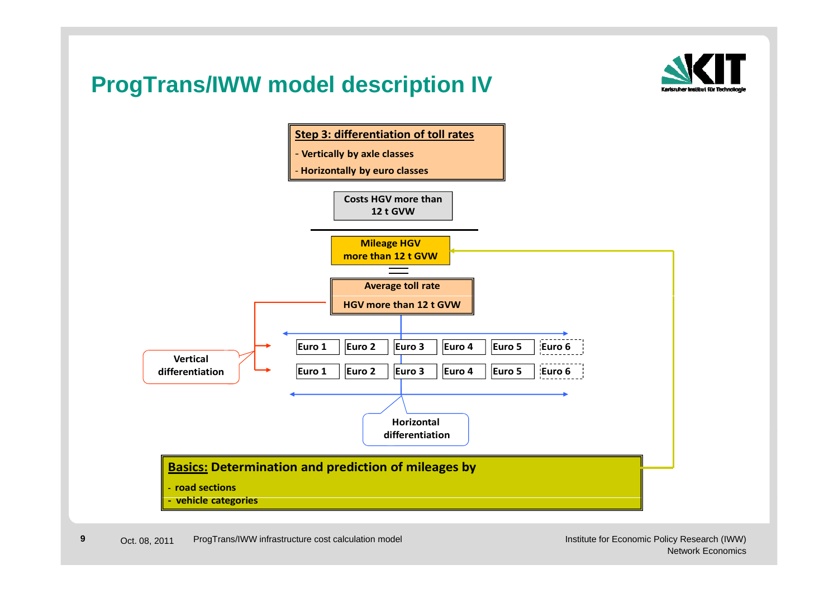# **ProgTrans/IWW model description IV**



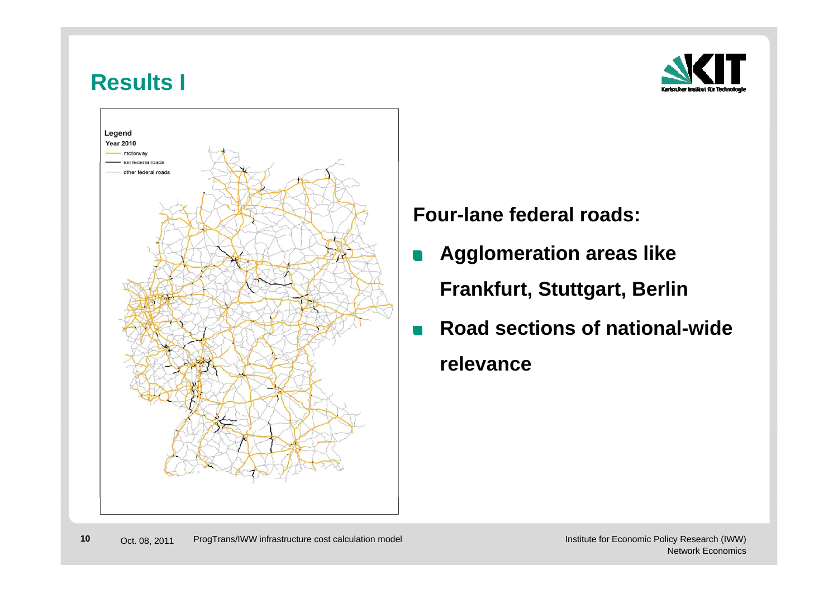### **Results I**





**Four-lane federal roads:** 

- **Agglomeration areas like**   $\blacksquare$ **Fra <sup>u</sup> t, Stuttga t, <sup>e</sup> nkfurt, Stuttgart, Berlin**
- **Road sections of national-wide**   $\overline{\phantom{a}}$ **relevance**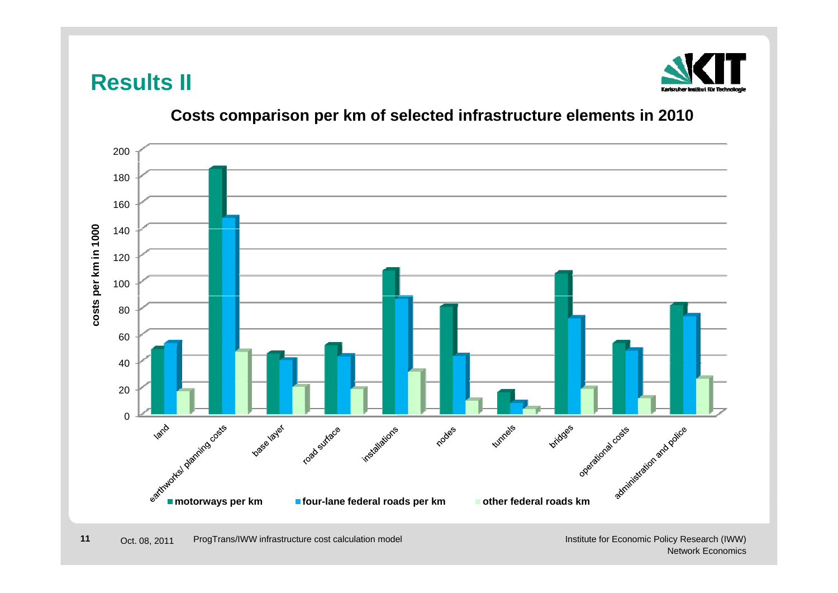## **Results II**



#### **Costs comparison per km of selected infrastructure elements in 2010**



Institute for Economic Policy Research (IWW) Network Economics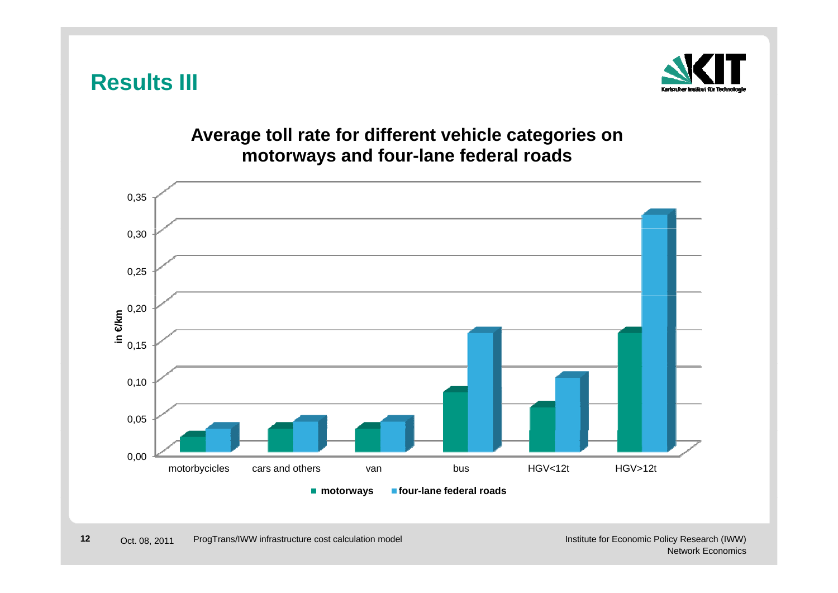



#### **Average toll rate for different vehicle categories on motorways and four-lane federal roads four lane**

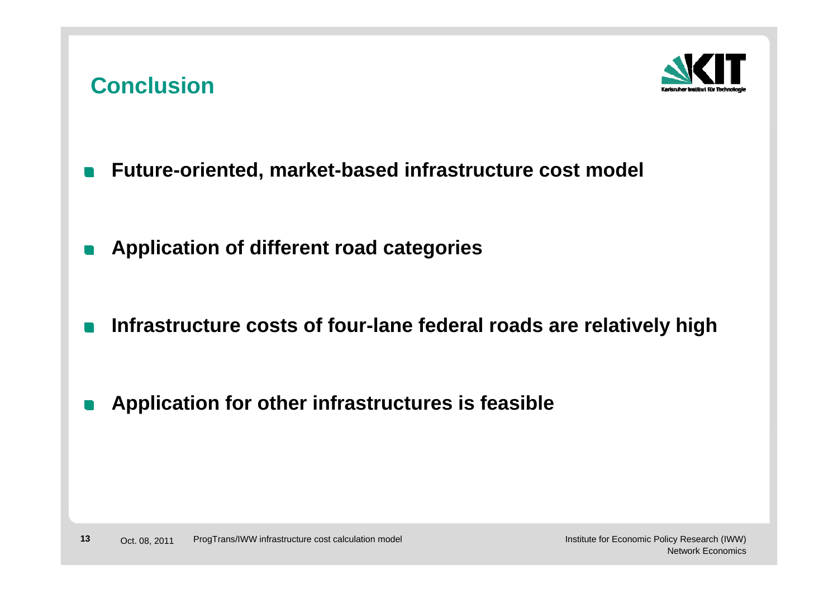## **Conclusion**



- **Future-oriented, market-based infrastructure cost model**  $\Box$
- **Application of different road categories**  $\Box$
- **Infrastructure costs of four-lane federal roads are relatively high**  $\blacksquare$
- **Application for other infrastructures is feasible** n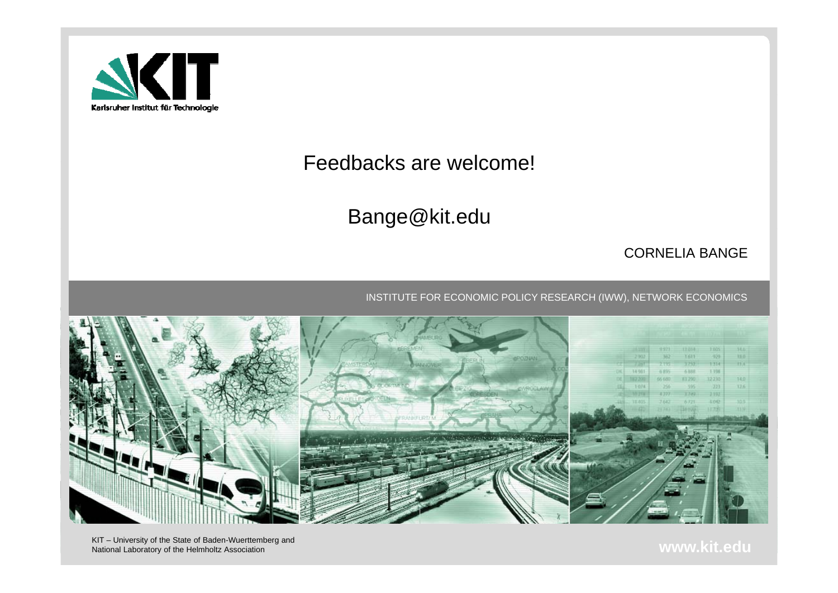

#### Feedbacks are welcome!

Bange@kit.edu

#### CORNELIA BANGE

INSTITUTE FOR ECONOMIC POLICY RESEARCH (IWW), NETWORK ECONOMICS



National Laboratory of the Helmholtz Association **www.kit.edu**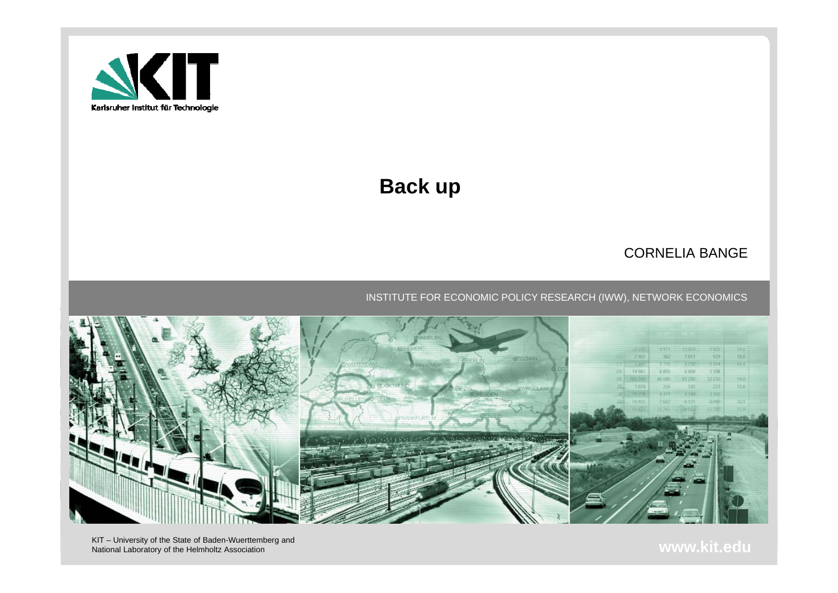

## **Back up**

#### CORNELIA BANGE

#### INSTITUTE FOR ECONOMIC POLICY RESEARCH (IWW), NETWORK ECONOMICS



NAT – University of the State of Baden-Wuerttemberg and **WAT – University of the State of Baden-Wuerttemberg and**<br>National Laboratory of the Helmholtz Association **www.kit.edu**